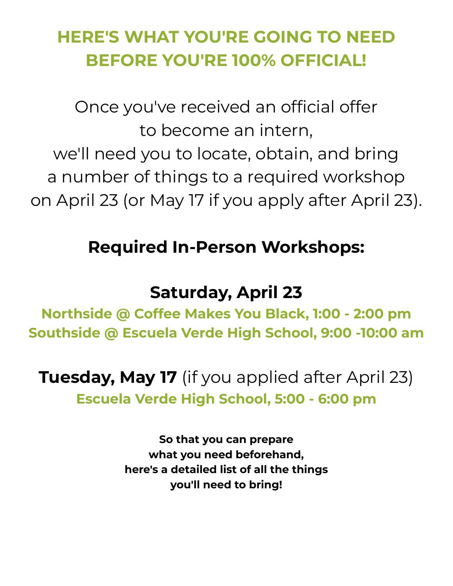## **HERE'S WHAT YOU'RE GOING TO NEED BEFORE YOU'RE 100% OFFICIAL!**

Once you've received an official offer to become an intern, we'll need you to locate, obtain, and bring a number of things to a required workshop on April 23 (or May 17 if you apply after April 23).

### **Required In-Person Workshops:**

### **Saturday, April 23**

**Northside @ Coffee Makes You Black, 1:00 - 2:00 pm Southside @ Escuela Verde High School, 9:00 -10:00 am**

**Tuesday, May 17** (if you applied after April 23) **Escuela Verde High School, 5:00 - 6:00 pm**

> **So that you can prepare what you need beforehand, here's a detailed list of all the things you'll need to bring!**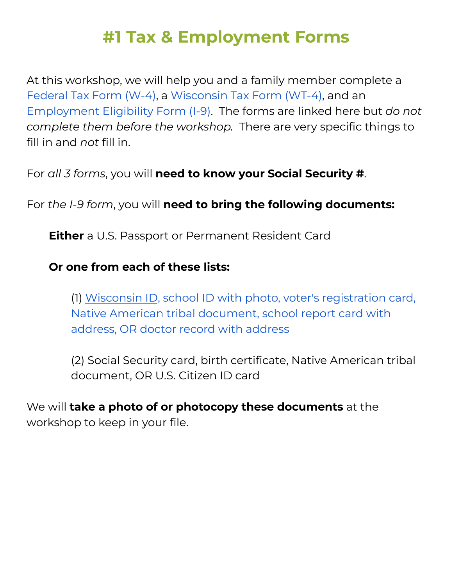### **#1 Tax & Employment Forms**

At this workshop, we will help you and a family member complete a [Federal](https://www.teensgrowgreens.org/_files/ugd/43e765_ba2167e4e35444ee8090e23640cfe3ce.pdf) Tax Form (W-4), a [Wisconsin](https://www.teensgrowgreens.org/_files/ugd/43e765_a98929180a2343aca5d3e59563c72f96.pdf) Tax Form (WT-4), and an [Employment](https://www.teensgrowgreens.org/_files/ugd/43e765_e770a4ef6551439caa0adae5ed0a3e4e.pdf) Eligibility Form (I-9). The forms are linked here but *do not complete them before the workshop.* There are very specific things to fill in and *not* fill in.

For *all 3 forms*, you will **need to know your Social Security #**.

For *the I-9 form*, you will **need to bring the following documents:**

**Either** a U.S. Passport or Permanent Resident Card

#### **Or one from each of these lists:**

(1) Wisconsin ID, school ID with photo, voter's [registration](https://wisconsindot.gov/Pages/dmv/license-drvs/how-to-apply/id-card.aspx) card, Native American tribal [document,](https://wisconsindot.gov/Pages/dmv/license-drvs/how-to-apply/id-card.aspx) school report card with [address,](https://wisconsindot.gov/Pages/dmv/license-drvs/how-to-apply/id-card.aspx) OR doctor record with address

(2) Social Security card, birth certificate, Native American tribal document, OR U.S. Citizen ID card

We will **take a photo of or photocopy these documents** at the workshop to keep in your file.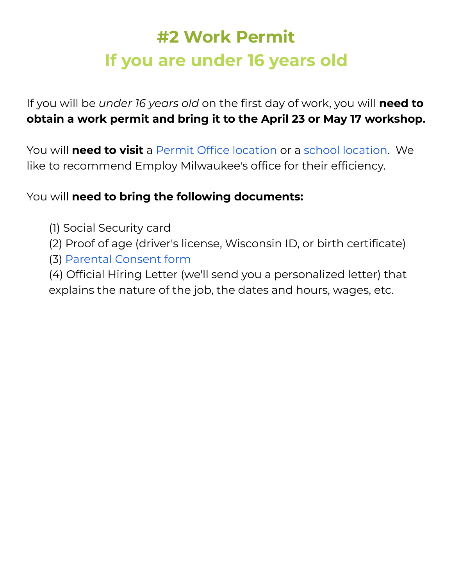## **#2 Work Permit If you are under 16 years old**

If you will be *under 16 years old* on the first day of work, you will **need to obtain a work permit and bring it to the April 23 or May 17 workshop.**

You will **need to visit** a Permit Office [location](https://dwd.wisconsin.gov/er/laborstandards/workpermit/offices.htm) or a school [location.](https://dwd.wisconsin.gov/er/laborstandards/workpermit/schools.htm) We like to recommend Employ Milwaukee's office for their efficiency.

You will **need to bring the following documents:**

- (1) Social Security card
- (2) Proof of age (driver's license, Wisconsin ID, or birth certificate)
- (3) [Parental](https://www.teensgrowgreens.org/_files/ugd/43e765_485cccf3f67149cbbb91603c36d1281a.pdf) Consent form

(4) Official Hiring Letter (we'll send you a personalized letter) that explains the nature of the job, the dates and hours, wages, etc.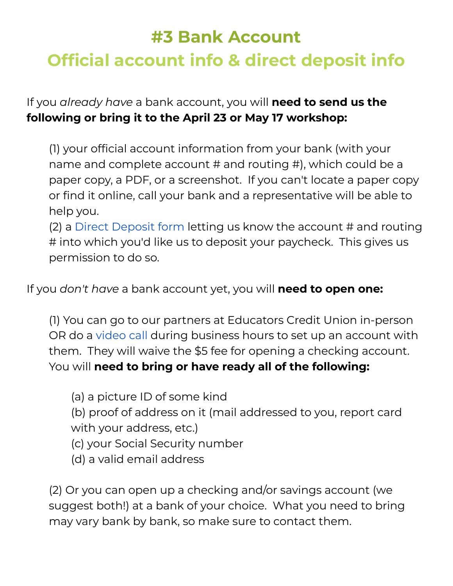## **#3 Bank Account Official account info & direct deposit info**

If you *already have* a bank account, you will **need to send us the following or bring it to the April 23 or May 17 workshop:**

(1) your official account information from your bank (with your name and complete account # and routing #), which could be a paper copy, a PDF, or a screenshot. If you can't locate a paper copy or find it online, call your bank and a representative will be able to help you.

(2) a Direct [Deposit](https://www.teensgrowgreens.org/_files/ugd/43e765_cba0e836d9d343aca601ec6cca2b0116.pdf) form letting us know the account # and routing # into which you'd like us to deposit your paycheck. This gives us permission to do so.

If you *don't have* a bank account yet, you will **need to open one:**

(1) You can go to our partners at Educators Credit Union in-person OR do a [video](https://main.financialtown.com/financial_town/?view_type=page&action=client_portal&company_code=educatorscu&client_portal_mode=instant_call) call during business hours to set up an account with them. They will waive the \$5 fee for opening a checking account. You will **need to bring or have ready all of the following:**

- (a) a picture ID of some kind
- (b) proof of address on it (mail addressed to you, report card with your address, etc.)
- (c) your Social Security number
- (d) a valid email address

(2) Or you can open up a checking and/or savings account (we suggest both!) at a bank of your choice. What you need to bring may vary bank by bank, so make sure to contact them.